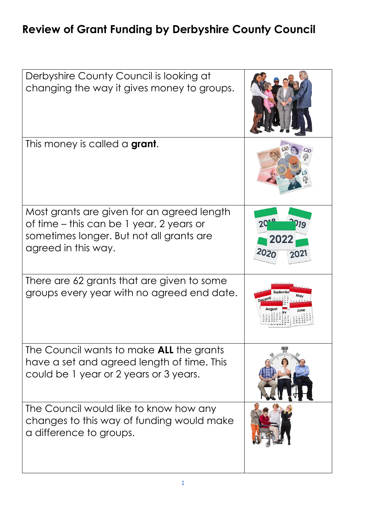## **Review of Grant Funding by Derbyshire County Council**

| Derbyshire County Council is looking at<br>changing the way it gives money to groups.                                                                     |                    |
|-----------------------------------------------------------------------------------------------------------------------------------------------------------|--------------------|
| This money is called a <b>grant</b> .                                                                                                                     |                    |
| Most grants are given for an agreed length<br>of time – this can be 1 year, 2 years or<br>sometimes longer. But not all grants are<br>agreed in this way. | 202<br>2020<br>າດ2 |
| There are 62 grants that are given to some<br>groups every year with no agreed end date.                                                                  | May                |
| The Council wants to make <b>ALL</b> the grants<br>have a set and agreed length of time. This<br>could be 1 year or 2 years or 3 years.                   |                    |
| The Council would like to know how any<br>changes to this way of funding would make<br>a difference to groups.                                            |                    |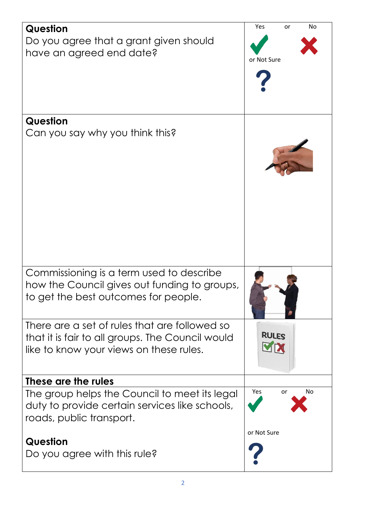| <b>Question</b>                                  | Yes<br><b>No</b><br>or  |
|--------------------------------------------------|-------------------------|
| Do you agree that a grant given should           |                         |
| have an agreed end date?                         | or Not Sure             |
|                                                  |                         |
|                                                  |                         |
|                                                  |                         |
|                                                  |                         |
| <b>Question</b>                                  |                         |
| Can you say why you think this?                  |                         |
|                                                  |                         |
|                                                  |                         |
|                                                  |                         |
|                                                  |                         |
|                                                  |                         |
|                                                  |                         |
|                                                  |                         |
|                                                  |                         |
|                                                  |                         |
|                                                  |                         |
| Commissioning is a term used to describe         |                         |
| how the Council gives out funding to groups,     |                         |
| to get the best outcomes for people.             |                         |
|                                                  |                         |
| There are a set of rules that are followed so    |                         |
| that it is fair to all groups. The Council would | <b>RULES</b>            |
| like to know your views on these rules.          | VIX                     |
|                                                  |                         |
| These are the rules                              |                         |
| The group helps the Council to meet its legal    | Yes<br>No.<br><b>or</b> |
| duty to provide certain services like schools,   |                         |
| roads, public transport.                         |                         |
|                                                  | or Not Sure             |
| <b>Question</b>                                  |                         |
| Do you agree with this rule?                     |                         |
|                                                  |                         |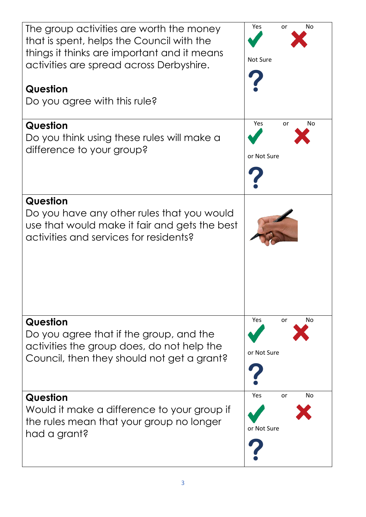| The group activities are worth the money<br>that is spent, helps the Council with the<br>things it thinks are important and it means<br>activities are spread across Derbyshire.<br>Question | Yes<br>No<br>or<br>Not Sure           |
|----------------------------------------------------------------------------------------------------------------------------------------------------------------------------------------------|---------------------------------------|
| Do you agree with this rule?                                                                                                                                                                 |                                       |
| Question<br>Do you think using these rules will make a<br>difference to your group?                                                                                                          | Yes<br>No<br>or<br>or Not Sure        |
| Question<br>Do you have any other rules that you would<br>use that would make it fair and gets the best<br>activities and services for residents?                                            |                                       |
| Question<br>Do you agree that if the group, and the<br>activities the group does, do not help the<br>Council, then they should not get a grant?                                              | Yes<br>or<br>No.<br>or Not Sure       |
| Question<br>Would it make a difference to your group if<br>the rules mean that your group no longer<br>had a grant?                                                                          | Yes<br><b>No</b><br>or<br>or Not Sure |